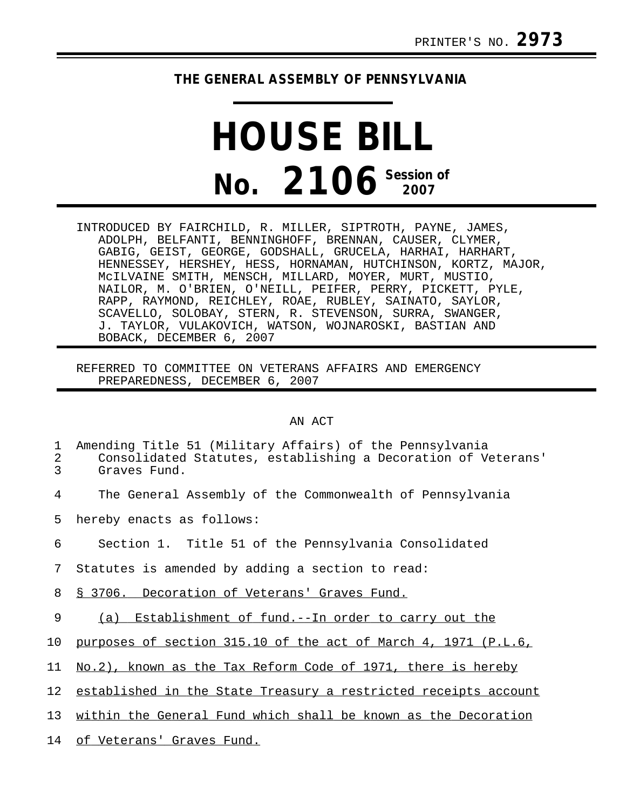## **THE GENERAL ASSEMBLY OF PENNSYLVANIA**

## **HOUSE BILL No. 2106 Session of**

INTRODUCED BY FAIRCHILD, R. MILLER, SIPTROTH, PAYNE, JAMES, ADOLPH, BELFANTI, BENNINGHOFF, BRENNAN, CAUSER, CLYMER, GABIG, GEIST, GEORGE, GODSHALL, GRUCELA, HARHAI, HARHART, HENNESSEY, HERSHEY, HESS, HORNAMAN, HUTCHINSON, KORTZ, MAJOR, McILVAINE SMITH, MENSCH, MILLARD, MOYER, MURT, MUSTIO, NAILOR, M. O'BRIEN, O'NEILL, PEIFER, PERRY, PICKETT, PYLE, RAPP, RAYMOND, REICHLEY, ROAE, RUBLEY, SAINATO, SAYLOR, SCAVELLO, SOLOBAY, STERN, R. STEVENSON, SURRA, SWANGER, J. TAYLOR, VULAKOVICH, WATSON, WOJNAROSKI, BASTIAN AND BOBACK, DECEMBER 6, 2007

REFERRED TO COMMITTEE ON VETERANS AFFAIRS AND EMERGENCY PREPAREDNESS, DECEMBER 6, 2007

## AN ACT

| 1<br>2<br>3     | Amending Title 51 (Military Affairs) of the Pennsylvania<br>Consolidated Statutes, establishing a Decoration of Veterans'<br>Graves Fund. |
|-----------------|-------------------------------------------------------------------------------------------------------------------------------------------|
| 4               | The General Assembly of the Commonwealth of Pennsylvania                                                                                  |
| 5               | hereby enacts as follows:                                                                                                                 |
| 6               | Section 1. Title 51 of the Pennsylvania Consolidated                                                                                      |
| $7\phantom{.0}$ | Statutes is amended by adding a section to read:                                                                                          |
| 8               | § 3706. Decoration of Veterans' Graves Fund.                                                                                              |
| 9               | (a) Establishment of fund.--In order to carry out the                                                                                     |
| 10              | purposes of section 315.10 of the act of March 4, 1971 (P.L.6,                                                                            |
| 11              | No.2), known as the Tax Reform Code of 1971, there is hereby                                                                              |
| 12              | established in the State Treasury a restricted receipts account                                                                           |
| 13              | within the General Fund which shall be known as the Decoration                                                                            |
|                 |                                                                                                                                           |

14 of Veterans' Graves Fund.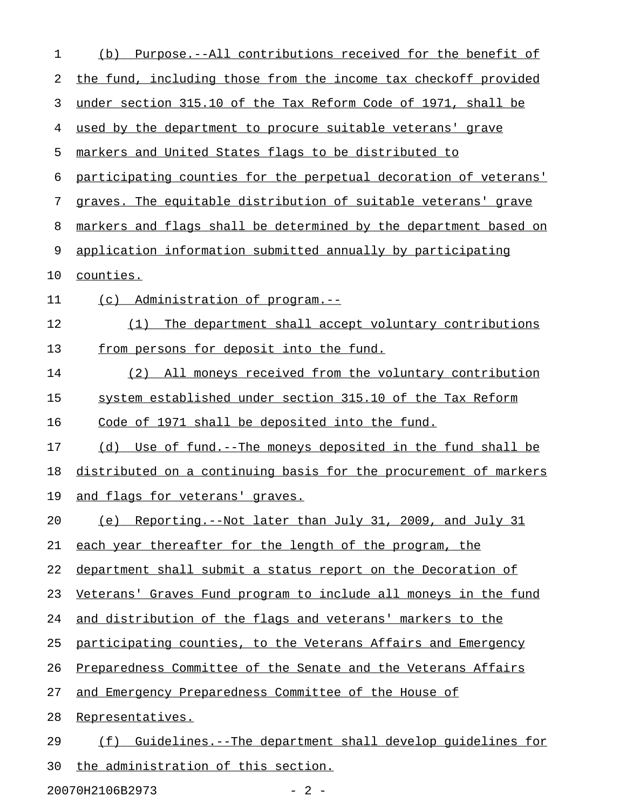| 1  | Purpose.--All contributions received for the benefit of<br>(d)   |
|----|------------------------------------------------------------------|
| 2  | the fund, including those from the income tax checkoff provided  |
| 3  | under section 315.10 of the Tax Reform Code of 1971, shall be    |
| 4  | used by the department to procure suitable veterans' grave       |
| 5  | markers and United States flags to be distributed to             |
| 6  | participating counties for the perpetual decoration of veterans' |
| 7  | graves. The equitable distribution of suitable veterans' grave   |
| 8  | markers and flags shall be determined by the department based on |
| 9  | application information submitted annually by participating      |
| 10 | counties.                                                        |
| 11 | (c) Administration of program.--                                 |
| 12 | The department shall accept voluntary contributions<br>(1)       |
| 13 | from persons for deposit into the fund.                          |
| 14 | (2) All moneys received from the voluntary contribution          |
| 15 | system established under section 315.10 of the Tax Reform        |
| 16 | Code of 1971 shall be deposited into the fund.                   |
| 17 | (d) Use of fund.--The moneys deposited in the fund shall be      |
| 18 | distributed on a continuing basis for the procurement of markers |
| 19 | and flags for veterans' graves.                                  |
| 20 | (e) Reporting.--Not later than July 31, 2009, and July 31        |
| 21 | each year thereafter for the length of the program, the          |
| 22 | department shall submit a status report on the Decoration of     |
| 23 | Veterans' Graves Fund program to include all moneys in the fund  |
| 24 | and distribution of the flags and veterans' markers to the       |
| 25 | participating counties, to the Veterans Affairs and Emergency    |
| 26 | Preparedness Committee of the Senate and the Veterans Affairs    |
| 27 | and Emergency Preparedness Committee of the House of             |
| 28 | Representatives.                                                 |
| 29 | Guidelines.--The department shall develop quidelines for<br>(f)  |
| 30 | the administration of this section.                              |

20070H2106B2973 - 2 -